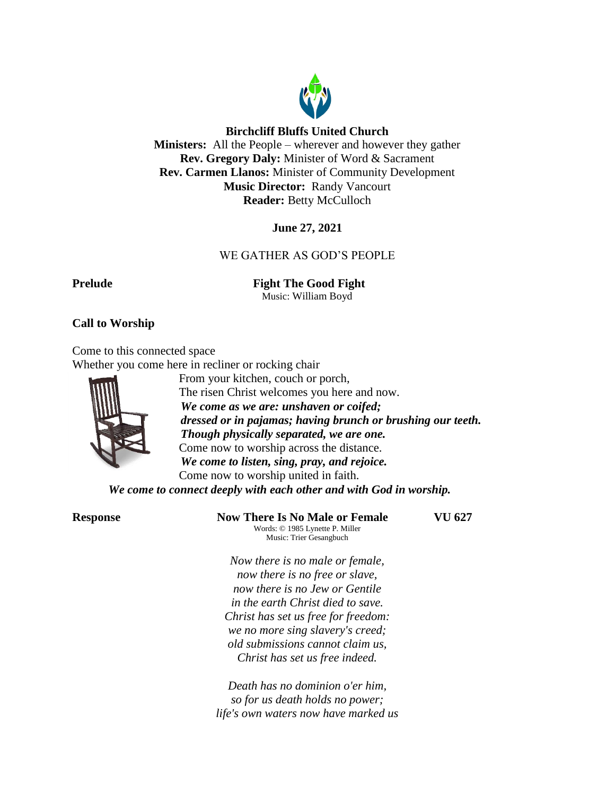

## **Birchcliff Bluffs United Church**

**Ministers:** All the People – wherever and however they gather **Rev. Gregory Daly:** Minister of Word & Sacrament **Rev. Carmen Llanos:** Minister of Community Development **Music Director:** Randy Vancourt **Reader:** Betty McCulloch

# **June 27, 2021**

# WE GATHER AS GOD'S PEOPLE

**Prelude Fight The Good Fight** 

Music: William Boyd

# **Call to Worship**

Come to this connected space

Whether you come here in recliner or rocking chair



From your kitchen, couch or porch, The risen Christ welcomes you here and now. *We come as we are: unshaven or coifed; dressed or in pajamas; having brunch or brushing our teeth. Though physically separated, we are one.* Come now to worship across the distance. *We come to listen, sing, pray, and rejoice.* Come now to worship united in faith.

*We come to connect deeply with each other and with God in worship.*

**Response Now There Is No Male or Female VU 627** Words: © 1985 Lynette P. Miller Music: Trier Gesangbuch

*Now there is no male or female, now there is no free or slave, now there is no Jew or Gentile in the earth Christ died to save. Christ has set us free for freedom: we no more sing slavery's creed; old submissions cannot claim us, Christ has set us free indeed.*

*Death has no dominion o'er him, so for us death holds no power; life's own waters now have marked us*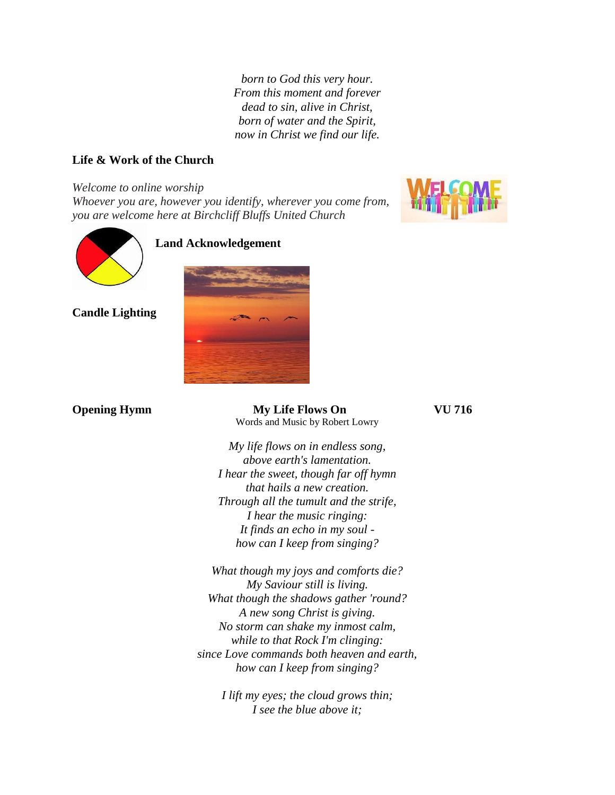*born to God this very hour. From this moment and forever dead to sin, alive in Christ, born of water and the Spirit, now in Christ we find our life.*

# **Life & Work of the Church**

#### *Welcome to online worship*

*Whoever you are, however you identify, wherever you come from, you are welcome here at Birchcliff Bluffs United Church*





# **Land Acknowledgement**



**Candle Lighting**

**Opening Hymn My Life Flows On VU 716** Words and Music by Robert Lowry

*My life flows on in endless song, above earth's lamentation. I hear the sweet, though far off hymn that hails a new creation. Through all the tumult and the strife, I hear the music ringing: It finds an echo in my soul how can I keep from singing?*

*What though my joys and comforts die? My Saviour still is living. What though the shadows gather 'round? A new song Christ is giving. No storm can shake my inmost calm, while to that Rock I'm clinging: since Love commands both heaven and earth, how can I keep from singing?*

> *I lift my eyes; the cloud grows thin; I see the blue above it;*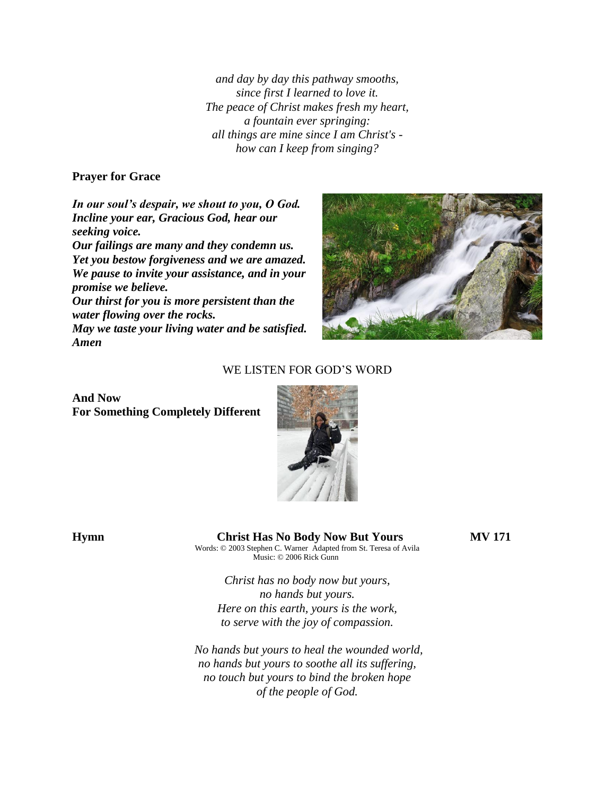*and day by day this pathway smooths, since first I learned to love it. The peace of Christ makes fresh my heart, a fountain ever springing: all things are mine since I am Christ's how can I keep from singing?*

## **Prayer for Grace**

*In our soul's despair, we shout to you, O God. Incline your ear, Gracious God, hear our seeking voice.*

*Our failings are many and they condemn us. Yet you bestow forgiveness and we are amazed. We pause to invite your assistance, and in your promise we believe.*

*Our thirst for you is more persistent than the water flowing over the rocks.*

*May we taste your living water and be satisfied. Amen*



## WE LISTEN FOR GOD'S WORD

#### **And Now For Something Completely Different**



# **Hymn Christ Has No Body Now But Yours MV 171**

Words: © 2003 Stephen C. Warner Adapted from St. Teresa of Avila Music: © 2006 Rick Gunn

*Christ has no body now but yours, no hands but yours. Here on this earth, yours is the work, to serve with the joy of compassion.*

*No hands but yours to heal the wounded world, no hands but yours to soothe all its suffering, no touch but yours to bind the broken hope of the people of God.*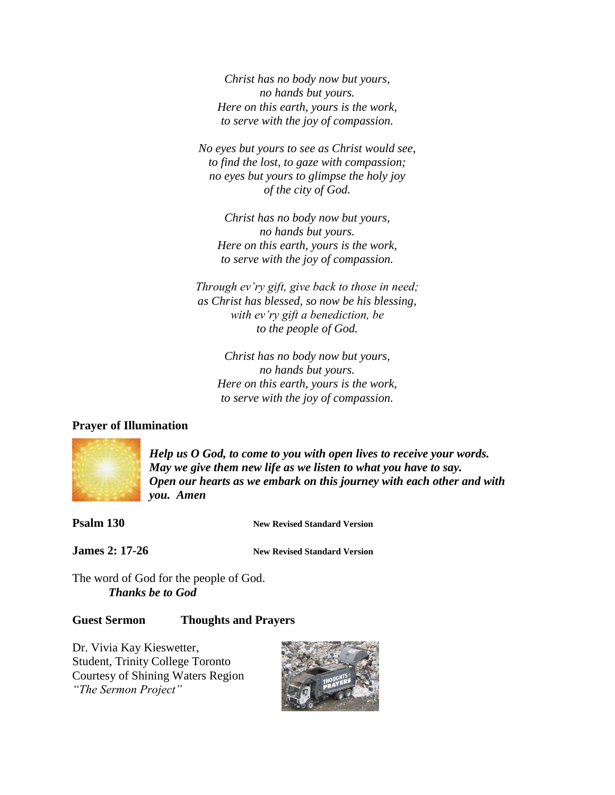*Christ has no body now but yours, no hands but yours. Here on this earth, yours is the work, to serve with the joy of compassion.*

*No eyes but yours to see as Christ would see, to find the lost, to gaze with compassion; no eyes but yours to glimpse the holy joy of the city of God.*

*Christ has no body now but yours, no hands but yours. Here on this earth, yours is the work, to serve with the joy of compassion.*

*Through ev'ry gift, give back to those in need; as Christ has blessed, so now be his blessing, with ev'ry gift a benediction, be to the people of God.*

*Christ has no body now but yours, no hands but yours. Here on this earth, yours is the work, to serve with the joy of compassion.*

### **Prayer of Illumination**



*Help us O God, to come to you with open lives to receive your words. May we give them new life as we listen to what you have to say. Open our hearts as we embark on this journey with each other and with you. Amen*

**Psalm 130 New Revised Standard Version** 

**James 2: 17-26 New Revised Standard Version**

The word of God for the people of God. *Thanks be to God*

# **Guest Sermon Thoughts and Prayers**

Dr. Vivia Kay Kieswetter, Student, Trinity College Toronto Courtesy of Shining Waters Region *"The Sermon Project"*

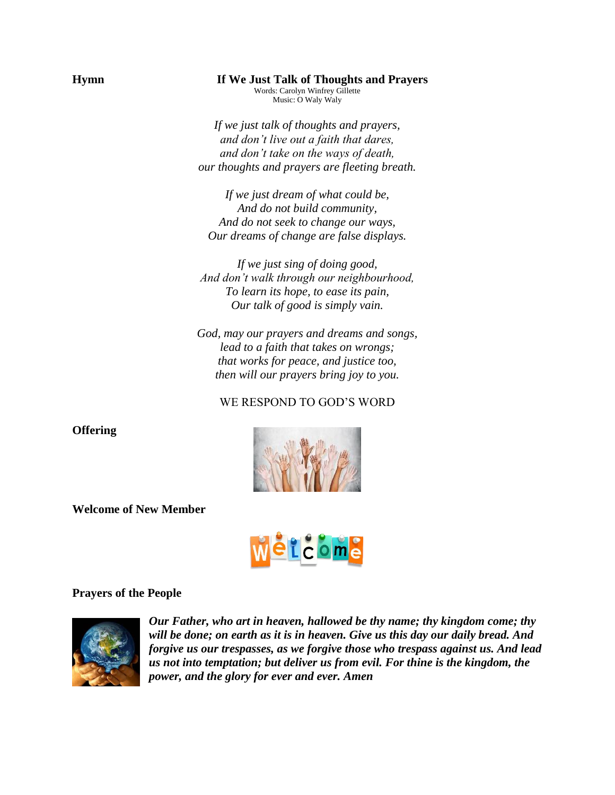## **Hymn If We Just Talk of Thoughts and Prayers**

Words: Carolyn Winfrey Gillette Music: O Waly Waly

*If we just talk of thoughts and prayers, and don't live out a faith that dares, and don't take on the ways of death, our thoughts and prayers are fleeting breath.*

*If we just dream of what could be, And do not build community, And do not seek to change our ways, Our dreams of change are false displays.*

*If we just sing of doing good, And don't walk through our neighbourhood, To learn its hope, to ease its pain, Our talk of good is simply vain.*

*God, may our prayers and dreams and songs, lead to a faith that takes on wrongs; that works for peace, and justice too, then will our prayers bring joy to you.*

# WE RESPOND TO GOD'S WORD



**Welcome of New Member**



#### **Prayers of the People**



*Our Father, who art in heaven, hallowed be thy name; thy kingdom come; thy will be done; on earth as it is in heaven. Give us this day our daily bread. And forgive us our trespasses, as we forgive those who trespass against us. And lead us not into temptation; but deliver us from evil. For thine is the kingdom, the power, and the glory for ever and ever. Amen*

**Offering**